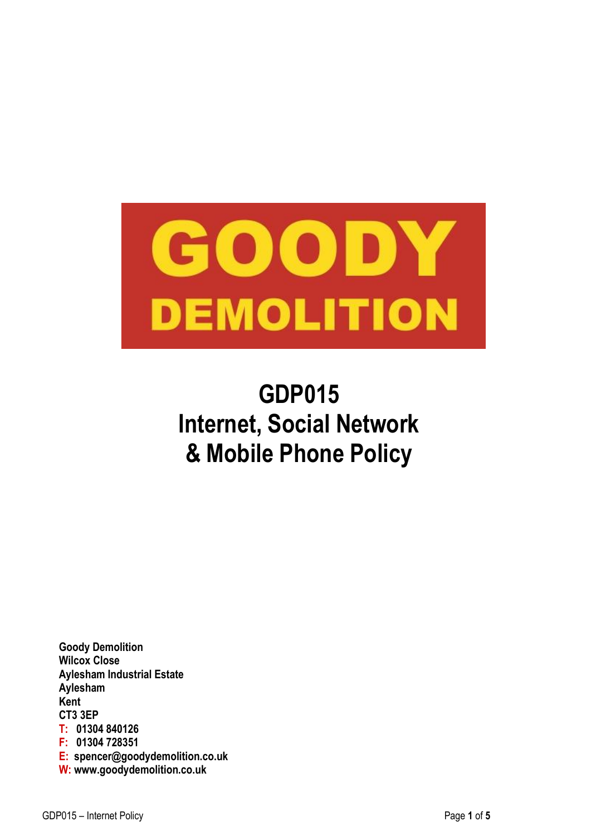

# **GDP015 Internet, Social Network & Mobile Phone Policy**

**Goody Demolition Wilcox Close Aylesham Industrial Estate Aylesham Kent CT3 3EP T: 01304 840126 F: 01304 728351 E: spencer@goodydemolition.co.uk W: www.goodydemolition.co.uk**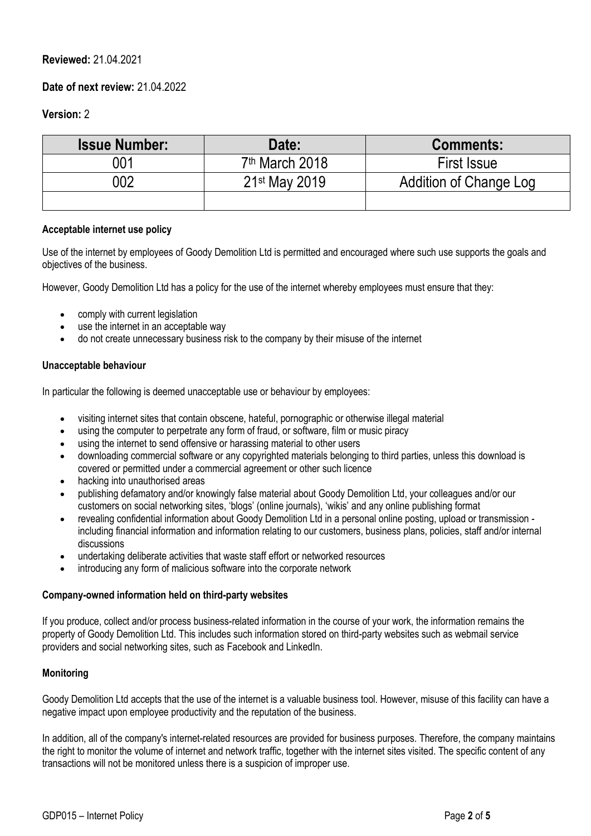# **Reviewed:** 21.04.2021

## **Date of next review:** 21.04.2022

## **Version:** 2

| <b>Issue Number:</b> | Date:                      | <b>Comments:</b>       |
|----------------------|----------------------------|------------------------|
| 001                  | 7 <sup>th</sup> March 2018 | <b>First Issue</b>     |
| 002                  | 21 <sup>st</sup> May 2019  | Addition of Change Log |
|                      |                            |                        |

## **Acceptable internet use policy**

Use of the internet by employees of Goody Demolition Ltd is permitted and encouraged where such use supports the goals and objectives of the business.

However, Goody Demolition Ltd has a policy for the use of the internet whereby employees must ensure that they:

- comply with current legislation
- use the internet in an acceptable way
- do not create unnecessary business risk to the company by their misuse of the internet

## **Unacceptable behaviour**

In particular the following is deemed unacceptable use or behaviour by employees:

- visiting internet sites that contain obscene, hateful, pornographic or otherwise illegal material
- using the computer to perpetrate any form of fraud, or software, film or music piracy
- using the internet to send offensive or harassing material to other users
- downloading commercial software or any copyrighted materials belonging to third parties, unless this download is covered or permitted under a commercial agreement or other such licence
- hacking into unauthorised areas
- publishing defamatory and/or knowingly false material about Goody Demolition Ltd, your colleagues and/or our customers on social networking sites, 'blogs' (online journals), 'wikis' and any online publishing format
- revealing confidential information about Goody Demolition Ltd in a personal online posting, upload or transmission including financial information and information relating to our customers, business plans, policies, staff and/or internal discussions
- undertaking deliberate activities that waste staff effort or networked resources
- introducing any form of malicious software into the corporate network

## **Company-owned information held on third-party websites**

If you produce, collect and/or process business-related information in the course of your work, the information remains the property of Goody Demolition Ltd. This includes such information stored on third-party websites such as webmail service providers and social networking sites, such as Facebook and LinkedIn.

## **Monitoring**

Goody Demolition Ltd accepts that the use of the internet is a valuable business tool. However, misuse of this facility can have a negative impact upon employee productivity and the reputation of the business.

In addition, all of the company's internet-related resources are provided for business purposes. Therefore, the company maintains the right to monitor the volume of internet and network traffic, together with the internet sites visited. The specific content of any transactions will not be monitored unless there is a suspicion of improper use.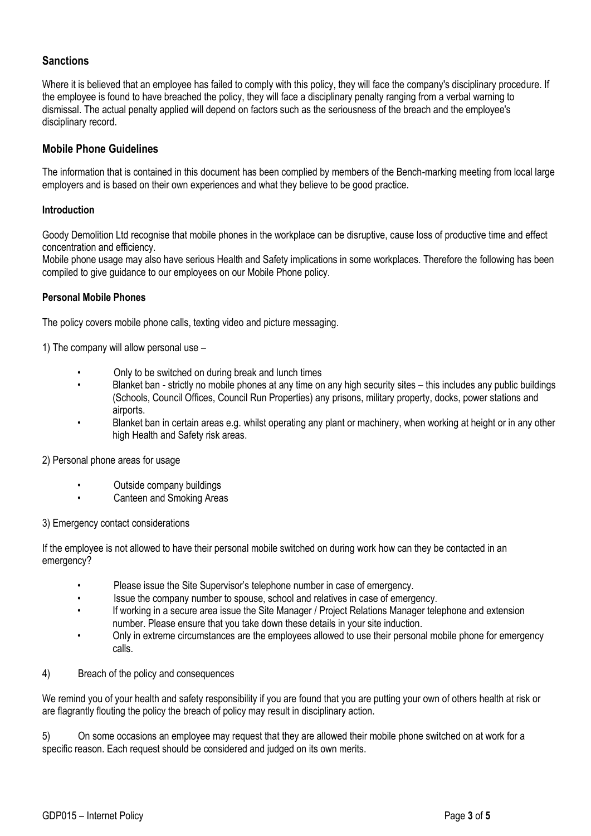# **Sanctions**

Where it is believed that an employee has failed to comply with this policy, they will face the company's disciplinary procedure. If the employee is found to have breached the policy, they will face a disciplinary penalty ranging from a verbal warning to dismissal. The actual penalty applied will depend on factors such as the seriousness of the breach and the employee's disciplinary record.

## **Mobile Phone Guidelines**

The information that is contained in this document has been complied by members of the Bench-marking meeting from local large employers and is based on their own experiences and what they believe to be good practice.

## **Introduction**

Goody Demolition Ltd recognise that mobile phones in the workplace can be disruptive, cause loss of productive time and effect concentration and efficiency.

Mobile phone usage may also have serious Health and Safety implications in some workplaces. Therefore the following has been compiled to give guidance to our employees on our Mobile Phone policy.

## **Personal Mobile Phones**

The policy covers mobile phone calls, texting video and picture messaging.

1) The company will allow personal use –

- Only to be switched on during break and lunch times
- Blanket ban strictly no mobile phones at any time on any high security sites this includes any public buildings (Schools, Council Offices, Council Run Properties) any prisons, military property, docks, power stations and airports.
- Blanket ban in certain areas e.g. whilst operating any plant or machinery, when working at height or in any other high Health and Safety risk areas.

2) Personal phone areas for usage

- Outside company buildings
- Canteen and Smoking Areas

3) Emergency contact considerations

If the employee is not allowed to have their personal mobile switched on during work how can they be contacted in an emergency?

- Please issue the Site Supervisor's telephone number in case of emergency.
- Issue the company number to spouse, school and relatives in case of emergency.
- If working in a secure area issue the Site Manager / Project Relations Manager telephone and extension number. Please ensure that you take down these details in your site induction.
- Only in extreme circumstances are the employees allowed to use their personal mobile phone for emergency calls.
- 4) Breach of the policy and consequences

We remind you of your health and safety responsibility if you are found that you are putting your own of others health at risk or are flagrantly flouting the policy the breach of policy may result in disciplinary action.

5) On some occasions an employee may request that they are allowed their mobile phone switched on at work for a specific reason. Each request should be considered and judged on its own merits.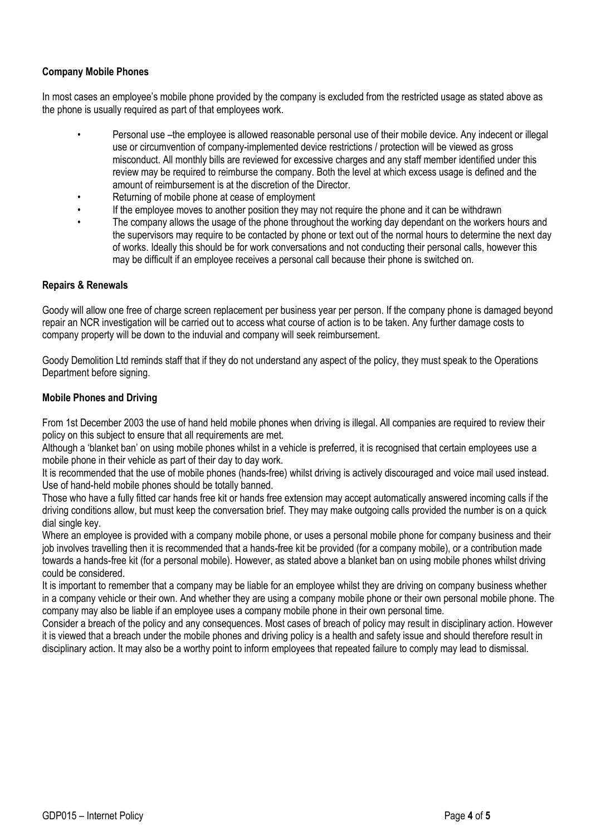# **Company Mobile Phones**

In most cases an employee's mobile phone provided by the company is excluded from the restricted usage as stated above as the phone is usually required as part of that employees work.

- Personal use –the employee is allowed reasonable personal use of their mobile device. Any indecent or illegal use or circumvention of company-implemented device restrictions / protection will be viewed as gross misconduct. All monthly bills are reviewed for excessive charges and any staff member identified under this review may be required to reimburse the company. Both the level at which excess usage is defined and the amount of reimbursement is at the discretion of the Director.
- Returning of mobile phone at cease of employment
- If the employee moves to another position they may not require the phone and it can be withdrawn
- The company allows the usage of the phone throughout the working day dependant on the workers hours and the supervisors may require to be contacted by phone or text out of the normal hours to determine the next day of works. Ideally this should be for work conversations and not conducting their personal calls, however this may be difficult if an employee receives a personal call because their phone is switched on.

## **Repairs & Renewals**

Goody will allow one free of charge screen replacement per business year per person. If the company phone is damaged beyond repair an NCR investigation will be carried out to access what course of action is to be taken. Any further damage costs to company property will be down to the induvial and company will seek reimbursement.

Goody Demolition Ltd reminds staff that if they do not understand any aspect of the policy, they must speak to the Operations Department before signing.

## **Mobile Phones and Driving**

From 1st December 2003 the use of hand held mobile phones when driving is illegal. All companies are required to review their policy on this subject to ensure that all requirements are met.

Although a 'blanket ban' on using mobile phones whilst in a vehicle is preferred, it is recognised that certain employees use a mobile phone in their vehicle as part of their day to day work.

It is recommended that the use of mobile phones (hands-free) whilst driving is actively discouraged and voice mail used instead. Use of hand-held mobile phones should be totally banned.

Those who have a fully fitted car hands free kit or hands free extension may accept automatically answered incoming calls if the driving conditions allow, but must keep the conversation brief. They may make outgoing calls provided the number is on a quick dial single key.

Where an employee is provided with a company mobile phone, or uses a personal mobile phone for company business and their job involves travelling then it is recommended that a hands-free kit be provided (for a company mobile), or a contribution made towards a hands-free kit (for a personal mobile). However, as stated above a blanket ban on using mobile phones whilst driving could be considered.

It is important to remember that a company may be liable for an employee whilst they are driving on company business whether in a company vehicle or their own. And whether they are using a company mobile phone or their own personal mobile phone. The company may also be liable if an employee uses a company mobile phone in their own personal time.

Consider a breach of the policy and any consequences. Most cases of breach of policy may result in disciplinary action. However it is viewed that a breach under the mobile phones and driving policy is a health and safety issue and should therefore result in disciplinary action. It may also be a worthy point to inform employees that repeated failure to comply may lead to dismissal.